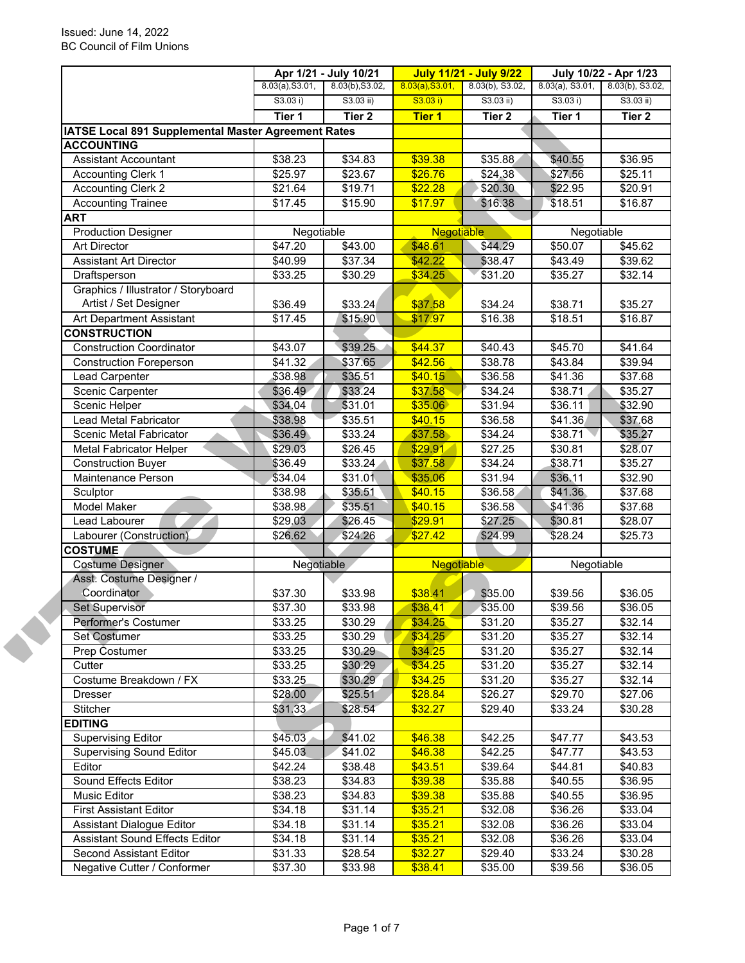|                                                              |                 | Apr 1/21 - July 10/21 |                   | <b>July 11/21 - July 9/22</b> |                     | July 10/22 - Apr 1/23 |  |
|--------------------------------------------------------------|-----------------|-----------------------|-------------------|-------------------------------|---------------------|-----------------------|--|
|                                                              | 8.03(a), S3.01, | 8.03(b), S3.02,       | 8.03(a), S3.01,   | $8.03(b)$ , S3.02,            | $8.03(a)$ , S3.01,  | 8.03(b), S3.02,       |  |
|                                                              | S3.03 i)        | $S3.03$ ii)           | S3.03 i)          | $S3.03$ ii)                   | S3.03 i)            | $S3.03$ ii)           |  |
|                                                              | Tier 1          | Tier <sub>2</sub>     | <b>Tier 1</b>     | Tier <sub>2</sub>             | Tier 1              | Tier 2                |  |
| IATSE Local 891 Supplemental Master Agreement Rates          |                 |                       |                   |                               |                     |                       |  |
| <b>ACCOUNTING</b>                                            |                 |                       |                   |                               |                     |                       |  |
| <b>Assistant Accountant</b>                                  | \$38.23         | \$34.83               | \$39.38           | \$35.88                       | \$40.55             | \$36.95               |  |
| Accounting Clerk 1                                           | \$25.97         | \$23.67               | \$26.76           | \$24.38                       | \$27.56             | \$25.11               |  |
| <b>Accounting Clerk 2</b>                                    | \$21.64         | \$19.71               | \$22.28           | \$20.30                       | \$22.95             | \$20.91               |  |
| <b>Accounting Trainee</b>                                    | \$17.45         | \$15.90               | \$17.97           | \$16.38                       | \$18.51             | \$16.87               |  |
| <b>ART</b>                                                   |                 |                       |                   |                               |                     |                       |  |
| <b>Production Designer</b>                                   | Negotiable      |                       | <b>Negotiable</b> |                               | Negotiable          |                       |  |
| <b>Art Director</b>                                          | \$47.20         | \$43.00               | \$48.61           | \$44.29                       | \$50.07             | \$45.62               |  |
| <b>Assistant Art Director</b>                                | \$40.99         | \$37.34               | \$42.22           | \$38.47                       | \$43.49             | \$39.62               |  |
| Draftsperson                                                 | \$33.25         | \$30.29               | \$34.25           | \$31.20                       | \$35.27             | \$32.14               |  |
| Graphics / Illustrator / Storyboard<br>Artist / Set Designer |                 |                       | \$37.58           |                               |                     | \$35.27               |  |
|                                                              | \$36.49         | \$33.24               |                   | \$34.24                       | \$38.71             |                       |  |
| Art Department Assistant                                     | \$17.45         | \$15.90               | \$17.97           | \$16.38                       | \$18.51             | \$16.87               |  |
| <b>CONSTRUCTION</b>                                          |                 |                       |                   |                               |                     |                       |  |
| <b>Construction Coordinator</b>                              | \$43.07         | \$39.25               | \$44.37           | \$40.43                       | \$45.70             | \$41.64               |  |
| <b>Construction Foreperson</b>                               | \$41.32         | \$37.65               | \$42.56           | \$38.78                       | \$43.84             | \$39.94               |  |
| Lead Carpenter                                               | \$38.98         | \$35.51               | \$40.15           | \$36.58                       | \$41.36             | \$37.68               |  |
| Scenic Carpenter                                             | \$36.49         | \$33.24               | \$37.58           | \$34.24                       | \$38.71             | \$35.27               |  |
| <b>Scenic Helper</b>                                         | \$34.04         | \$31.01               | \$35.06           | $\overline{$}31.94$           | $\overline{$}36.11$ | \$32.90               |  |
| Lead Metal Fabricator                                        | \$38.98         | \$35.51               | \$40.15           | $\overline{$}36.58$           | \$41.36             | \$37.68               |  |
| Scenic Metal Fabricator                                      | \$36.49         | \$33.24               | \$37.58           | $\overline{$}34.24$           | \$38.71             | \$35.27               |  |
| <b>Metal Fabricator Helper</b>                               | \$29.03         | \$26.45               | \$29.91           | \$27.25                       | \$30.81             | \$28.07               |  |
| <b>Construction Buyer</b>                                    | \$36.49         | \$33.24               | \$37.58           | $\overline{$}34.24$           | \$38.71             | \$35.27               |  |
| Maintenance Person                                           | \$34.04         | \$31.01               | \$35.06           | $\overline{$}31.94$           | \$36.11             | \$32.90               |  |
| Sculptor                                                     | \$38.98         | \$35.51               | \$40.15           | $\overline{$}36.58$           | \$41.36             | \$37.68               |  |
| Model Maker                                                  | \$38.98         | \$35.51               | \$40.15           | \$36.58                       | \$41.36             | \$37.68               |  |
| Lead Labourer                                                | \$29.03         | \$26.45               | \$29.91           | \$27.25                       | \$30.81             | \$28.07               |  |
| Labourer (Construction)                                      | \$26.62         | \$24.26               | \$27.42           | \$24.99                       | \$28.24             | \$25.73               |  |
| <b>COSTUME</b>                                               |                 |                       |                   |                               |                     |                       |  |
| <b>Costume Designer</b>                                      |                 | Negotiable            |                   | <b>Negotiable</b>             |                     | Negotiable            |  |
| Asst. Costume Designer /                                     |                 |                       |                   |                               |                     |                       |  |
| Coordinator                                                  | \$37.30         | \$33.98               | \$38.41           | \$35.00                       | \$39.56             | \$36.05               |  |
| Set Supervisor                                               | \$37.30         | \$33.98               | \$38.41           | \$35.00                       | \$39.56             | \$36.05               |  |
| Performer's Costumer                                         | \$33.25         | \$30.29               | \$34.25           | \$31.20                       | \$35.27             | \$32.14               |  |
| <b>Set Costumer</b>                                          | \$33.25         | \$30.29               | \$34.25           | \$31.20                       | \$35.27             | \$32.14               |  |
| Prep Costumer                                                | \$33.25         | \$30.29               | \$34.25           | \$31.20                       | \$35.27             | \$32.14               |  |
| Cutter                                                       | \$33.25         | \$30.29               | \$34.25           | \$31.20                       | \$35.27             | \$32.14               |  |
| Costume Breakdown / FX                                       | \$33.25         | \$30.29               | \$34.25           | \$31.20                       | \$35.27             | \$32.14               |  |
| Dresser                                                      | \$28.00         | \$25.51               | \$28.84           | \$26.27                       | \$29.70             | \$27.06               |  |
| Stitcher                                                     | \$31.33         | \$28.54               | \$32.27           | \$29.40                       | \$33.24             | \$30.28               |  |
| <b>EDITING</b>                                               |                 |                       |                   |                               |                     |                       |  |
| <b>Supervising Editor</b>                                    | \$45.03         | \$41.02               | \$46.38           | \$42.25                       | \$47.77             | \$43.53               |  |
| <b>Supervising Sound Editor</b>                              | \$45.03         | \$41.02               | \$46.38           | \$42.25                       | \$47.77             | \$43.53               |  |
| Editor                                                       | \$42.24         | \$38.48               | \$43.51           | \$39.64                       | \$44.81             | \$40.83               |  |
| Sound Effects Editor                                         | \$38.23         | \$34.83               | \$39.38           | \$35.88                       | \$40.55             | \$36.95               |  |
| Music Editor                                                 | \$38.23         | \$34.83               | \$39.38           | \$35.88                       | \$40.55             | \$36.95               |  |
| <b>First Assistant Editor</b>                                | \$34.18         | \$31.14               | \$35.21           | \$32.08                       | \$36.26             | \$33.04               |  |
| Assistant Dialogue Editor                                    | \$34.18         | \$31.14               | \$35.21           | \$32.08                       | \$36.26             | \$33.04               |  |
| <b>Assistant Sound Effects Editor</b>                        | \$34.18         | \$31.14               | \$35.21           | \$32.08                       | \$36.26             | \$33.04               |  |
| Second Assistant Editor                                      | \$31.33         | \$28.54               | \$32.27           | \$29.40                       | \$33.24             | \$30.28               |  |
| Negative Cutter / Conformer                                  | \$37.30         | \$33.98               | \$38.41           | \$35.00                       | \$39.56             | \$36.05               |  |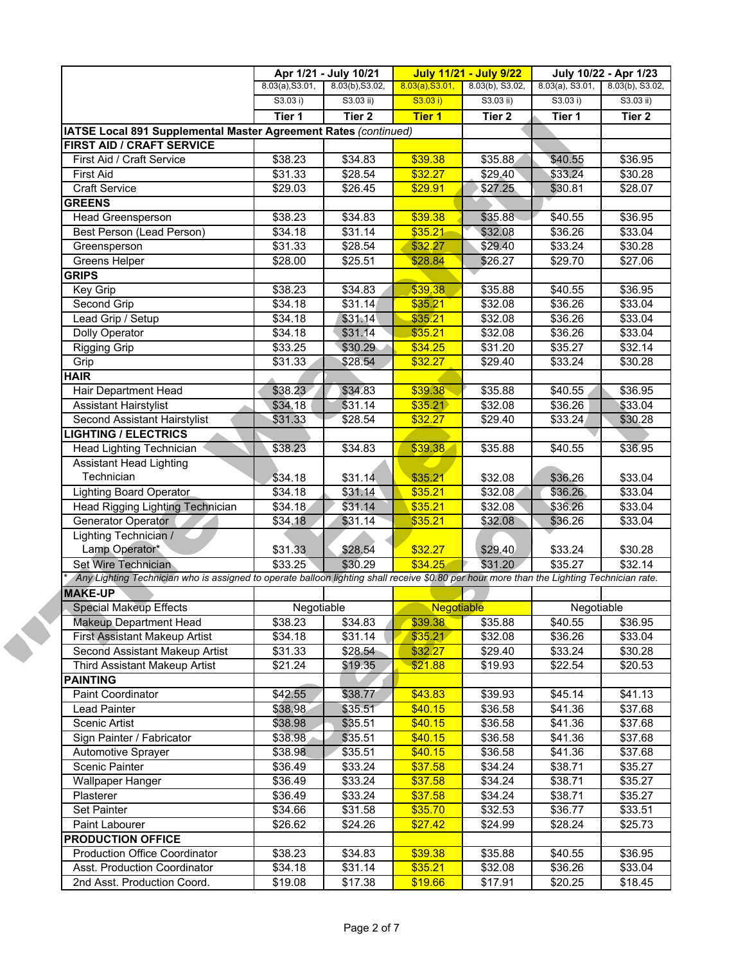|                                                                                                                                           | Apr 1/21 - July 10/21 |                    | <b>July 11/21 - July 9/22</b> |                     | July 10/22 - Apr 1/23 |                    |
|-------------------------------------------------------------------------------------------------------------------------------------------|-----------------------|--------------------|-------------------------------|---------------------|-----------------------|--------------------|
|                                                                                                                                           | 8.03(a), S3.01,       | 8.03(b), S3.02,    | 8.03(a), S3.01,               | 8.03(b), S3.02,     | $8.03(a)$ , S3.01,    | 8.03(b), S3.02,    |
|                                                                                                                                           | S3.03 i)              | $S3.03$ ii)        | S3.03 i)                      | $S3.03$ ii)         | S3.03 i)              | $S3.03$ ii)        |
|                                                                                                                                           | Tier 1                | Tier <sub>2</sub>  | <b>Tier 1</b>                 | Tier <sub>2</sub>   | Tier 1                | Tier 2             |
| IATSE Local 891 Supplemental Master Agreement Rates (continued)                                                                           |                       |                    |                               |                     |                       |                    |
| FIRST AID / CRAFT SERVICE                                                                                                                 |                       |                    |                               |                     |                       |                    |
| First Aid / Craft Service                                                                                                                 | \$38.23               | \$34.83            | \$39.38                       | \$35.88             | \$40.55               | \$36.95            |
| <b>First Aid</b>                                                                                                                          | \$31.33               | \$28.54            | \$32.27                       | \$29.40             | \$33.24               | \$30.28            |
| <b>Craft Service</b>                                                                                                                      | \$29.03               | \$26.45            | \$29.91                       | \$27.25             | \$30.81               | \$28.07            |
| <b>GREENS</b>                                                                                                                             |                       |                    |                               |                     |                       |                    |
| Head Greensperson                                                                                                                         | \$38.23               | \$34.83            | \$39.38                       | \$35.88             | \$40.55               | \$36.95            |
| Best Person (Lead Person)                                                                                                                 | \$34.18               | \$31.14            | \$35.21                       | \$32.08             | \$36.26               | \$33.04            |
| Greensperson                                                                                                                              | \$31.33               | \$28.54            | \$32.27                       | \$29.40             | \$33.24               | \$30.28            |
| Greens Helper                                                                                                                             | \$28.00               | \$25.51            | \$28.84                       | \$26.27             | \$29.70               | \$27.06            |
| <b>GRIPS</b>                                                                                                                              |                       |                    |                               |                     |                       |                    |
| Key Grip                                                                                                                                  | \$38.23               | \$34.83            | \$39.38                       | \$35.88             | \$40.55               | \$36.95            |
| Second Grip                                                                                                                               | 334.18                | \$31.14            | \$35.21                       | \$32.08             | \$36.26               | \$33.04            |
| Lead Grip / Setup                                                                                                                         | \$34.18               | \$31.14            | \$35.21                       | \$32.08             | \$36.26               | \$33.04            |
| Dolly Operator                                                                                                                            | \$34.18               | \$31.14            | \$35.21                       | \$32.08             | \$36.26               | \$33.04            |
| <b>Rigging Grip</b>                                                                                                                       | \$33.25               | \$30.29            | \$34.25                       | $\overline{$}31.20$ | \$35.27               | \$32.14            |
| Grip                                                                                                                                      | \$31.33               | \$28.54            | \$32.27                       | \$29.40             | \$33.24               | \$30.28            |
| <b>HAIR</b>                                                                                                                               |                       |                    |                               |                     |                       |                    |
| Hair Department Head                                                                                                                      | \$38.23               | \$34.83            | \$39.38                       | \$35.88             | \$40.55               | \$36.95            |
| <b>Assistant Hairstylist</b>                                                                                                              | \$34.18               | \$31.14            | \$35.21                       | \$32.08             | \$36.26               | \$33.04            |
| Second Assistant Hairstylist                                                                                                              | \$31.33               | \$28.54            | \$32.27                       | \$29.40             | \$33.24               | \$30.28            |
| <b>LIGHTING / ELECTRICS</b>                                                                                                               |                       |                    |                               |                     |                       |                    |
| Head Lighting Technician                                                                                                                  | \$38.23               | \$34.83            | \$39.38                       | \$35.88             | \$40.55               | \$36.95            |
| <b>Assistant Head Lighting</b>                                                                                                            |                       |                    |                               |                     |                       |                    |
| Technician                                                                                                                                | \$34.18               | \$31.14            | \$35.21                       | \$32.08             | \$36.26               | \$33.04            |
| <b>Lighting Board Operator</b>                                                                                                            | \$34.18               | \$31.14            | \$35.21                       | \$32.08             | \$36.26               | \$33.04            |
| Head Rigging Lighting Technician                                                                                                          | \$34.18               | \$31.14            | \$35.21                       | \$32.08             | \$36.26               | \$33.04            |
| Generator Operator                                                                                                                        | \$34.18               | \$31.14            | \$35.21                       | \$32.08             | \$36.26               | \$33.04            |
| Lighting Technician /                                                                                                                     |                       |                    |                               |                     |                       |                    |
| Lamp Operator*                                                                                                                            | \$31.33               | \$28.54            | \$32.27                       | \$29.40             | \$33.24               | \$30.28            |
| Set Wire Technician                                                                                                                       | \$33.25               | \$30.29            | \$34.25                       | \$31.20             | \$35.27               | \$32.14            |
| Any Lighting Technician who is assigned to operate balloon lighting shall receive \$0.80 per hour more than the Lighting Technician rate. |                       |                    |                               |                     |                       |                    |
| <b>MAKE-UP</b>                                                                                                                            |                       |                    |                               |                     |                       |                    |
| <b>Special Makeup Effects</b>                                                                                                             | Negotiable            |                    | Negotiable                    |                     | Negotiable            |                    |
| <b>Makeup Department Head</b>                                                                                                             | \$38.23               | \$34.83            | \$39.38                       | \$35.88             | \$40.55               | \$36.95            |
| <b>First Assistant Makeup Artist</b>                                                                                                      | \$34.18               | \$31.14            | \$35.21                       | \$32.08             | \$36.26               | \$33.04            |
| Second Assistant Makeup Artist                                                                                                            | \$31.33               | \$28.54            | \$32.27                       | \$29.40             | \$33.24               | \$30.28            |
| <b>Third Assistant Makeup Artist</b>                                                                                                      | \$21.24               | \$19.35            | \$21.88                       | \$19.93             | \$22.54               | \$20.53            |
|                                                                                                                                           |                       |                    |                               |                     |                       |                    |
| <b>PAINTING</b>                                                                                                                           |                       |                    |                               |                     |                       |                    |
| Paint Coordinator                                                                                                                         | \$42.55               | \$38.77            | \$43.83                       | \$39.93             | \$45.14               | \$41.13            |
| Lead Painter                                                                                                                              | \$38.98               | \$35.51            | \$40.15                       | \$36.58             | \$41.36               | \$37.68            |
| Scenic Artist                                                                                                                             | \$38.98               | \$35.51            | \$40.15                       | \$36.58             | \$41.36               | \$37.68            |
| Sign Painter / Fabricator                                                                                                                 | \$38.98               | \$35.51            | \$40.15                       | \$36.58             | \$41.36               | \$37.68            |
| <b>Automotive Sprayer</b>                                                                                                                 | \$38.98               | \$35.51            | \$40.15                       | \$36.58             | \$41.36               | \$37.68            |
| Scenic Painter                                                                                                                            | \$36.49               | \$33.24            | \$37.58                       | \$34.24             | \$38.71               | \$35.27            |
| Wallpaper Hanger                                                                                                                          | \$36.49               | \$33.24            | \$37.58                       | \$34.24             | \$38.71               | \$35.27            |
| Plasterer                                                                                                                                 | \$36.49               | \$33.24            | \$37.58                       | \$34.24             | \$38.71               | \$35.27            |
| Set Painter                                                                                                                               | \$34.66               | \$31.58            | \$35.70                       | \$32.53             | \$36.77               | \$33.51            |
| Paint Labourer                                                                                                                            | \$26.62               | \$24.26            | \$27.42                       | \$24.99             | \$28.24               | \$25.73            |
| <b>PRODUCTION OFFICE</b>                                                                                                                  |                       |                    |                               |                     |                       |                    |
| <b>Production Office Coordinator</b>                                                                                                      |                       |                    |                               |                     |                       | \$36.95            |
|                                                                                                                                           | \$38.23               | \$34.83            | \$39.38                       | \$35.88             | \$40.55               |                    |
| Asst. Production Coordinator<br>2nd Asst. Production Coord.                                                                               | \$34.18<br>\$19.08    | \$31.14<br>\$17.38 | \$35.21<br>\$19.66            | \$32.08<br>\$17.91  | \$36.26<br>\$20.25    | \$33.04<br>\$18.45 |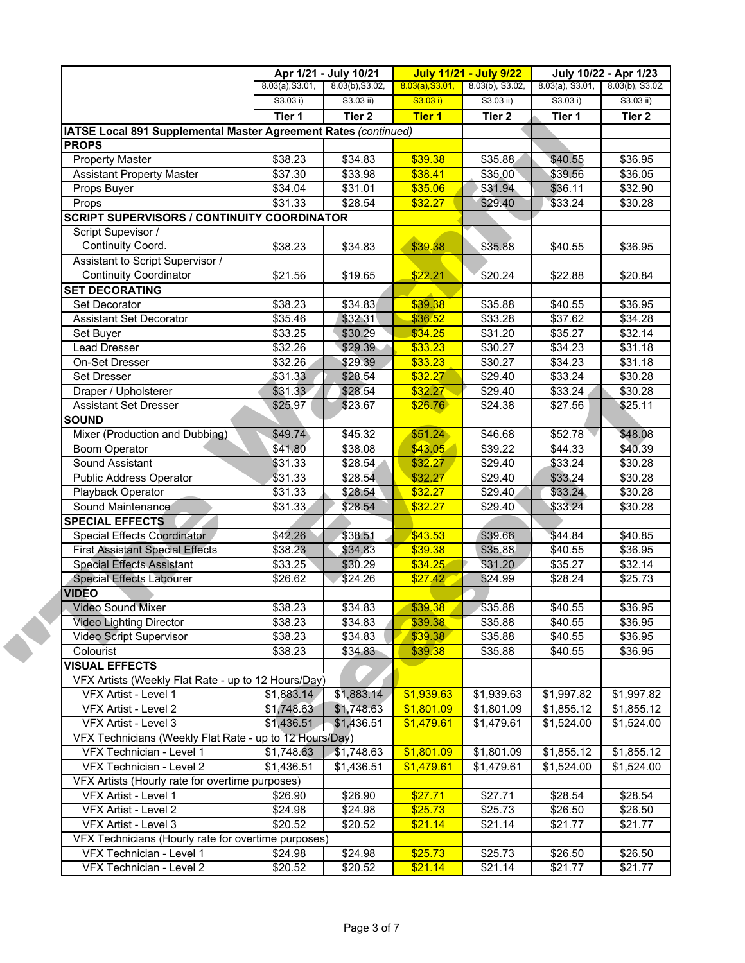|                                                                 | Apr 1/21 - July 10/21 |                   | <b>July 11/21 - July 9/22</b> |                 | July 10/22 - Apr 1/23 |                 |
|-----------------------------------------------------------------|-----------------------|-------------------|-------------------------------|-----------------|-----------------------|-----------------|
|                                                                 | 8.03(a), S3.01,       | 8.03(b), S3.02,   | 8.03(a), S3.01,               | 8.03(b), S3.02, | $8.03(a)$ , S3.01,    | 8.03(b), S3.02, |
|                                                                 | S3.03 i)              | $S3.03$ ii)       | S3.03 i)                      | S3.03 ii)       | S3.03 i)              | S3.03 ii)       |
|                                                                 | Tier 1                | Tier <sub>2</sub> | <b>Tier 1</b>                 | Tier 2          | Tier 1                | Tier 2          |
| IATSE Local 891 Supplemental Master Agreement Rates (continued) |                       |                   |                               |                 |                       |                 |
| <b>PROPS</b>                                                    |                       |                   |                               |                 |                       |                 |
| <b>Property Master</b>                                          | \$38.23               | \$34.83           | \$39.38                       | \$35.88         | \$40.55               | \$36.95         |
| <b>Assistant Property Master</b>                                | \$37.30               | \$33.98           | \$38.41                       | \$35.00         | \$39.56               | \$36.05         |
| Props Buyer                                                     | \$34.04               | \$31.01           | \$35.06                       | \$31.94         | \$36.11               | \$32.90         |
| Props                                                           | \$31.33               | \$28.54           | \$32.27                       | \$29.40         | \$33.24               | \$30.28         |
| <b>SCRIPT SUPERVISORS / CONTINUITY COORDINATOR</b>              |                       |                   |                               |                 |                       |                 |
| Script Supevisor /                                              |                       |                   |                               |                 |                       |                 |
| Continuity Coord.                                               | \$38.23               | \$34.83           | \$39.38                       | \$35.88         | \$40.55               | \$36.95         |
| Assistant to Script Supervisor /                                |                       |                   |                               |                 |                       |                 |
| <b>Continuity Coordinator</b>                                   | \$21.56               | \$19.65           | \$22.21                       | \$20.24         | \$22.88               | \$20.84         |
| <b>SET DECORATING</b>                                           |                       |                   |                               |                 |                       |                 |
| Set Decorator                                                   | \$38.23               | \$34.83           | \$39.38                       | \$35.88         | \$40.55               | \$36.95         |
| <b>Assistant Set Decorator</b>                                  | \$35.46               | \$32.31           | \$36.52                       | \$33.28         | \$37.62               | \$34.28         |
| Set Buyer                                                       | \$33.25               | \$30.29           | \$34.25                       | \$31.20         | \$35.27               | \$32.14         |
| <b>Lead Dresser</b>                                             | \$32.26               | \$29.39           | \$33.23                       | \$30.27         | \$34.23               | \$31.18         |
| On-Set Dresser                                                  | \$32.26               | \$29.39           | \$33.23                       | \$30.27         | \$34.23               | \$31.18         |
| Set Dresser                                                     | \$31.33               | \$28.54           | \$32.27                       | \$29.40         | \$33.24               | \$30.28         |
| Draper / Upholsterer                                            | \$31.33               | \$28.54           | \$32.27                       | \$29.40         | \$33.24               | \$30.28         |
| <b>Assistant Set Dresser</b>                                    | \$25.97               | \$23.67           | \$26.76                       | \$24.38         | \$27.56               | \$25.11         |
| <b>SOUND</b>                                                    |                       |                   |                               |                 |                       |                 |
| Mixer (Production and Dubbing)                                  | \$49.74               | \$45.32           | \$51.24                       | \$46.68         | \$52.78               | \$48.08         |
| <b>Boom Operator</b>                                            | \$41.80               | \$38.08           | \$43.05                       | \$39.22         | \$44.33               | \$40.39         |
| Sound Assistant                                                 | \$31.33               | \$28.54           | \$32.27                       | \$29.40         | \$33.24               | \$30.28         |
| <b>Public Address Operator</b>                                  | \$31.33               | \$28.54           | \$32.27                       | \$29.40         | \$33.24               | \$30.28         |
| Playback Operator                                               | \$31.33               | \$28.54           | \$32.27                       | \$29.40         | \$33.24               | \$30.28         |
| Sound Maintenance                                               | \$31.33               | \$28.54           | \$32.27                       | \$29.40         | \$33.24               | \$30.28         |
| <b>SPECIAL EFFECTS</b>                                          |                       |                   |                               |                 |                       |                 |
| Special Effects Coordinator                                     | \$42.26               | \$38.51           | \$43.53                       | \$39.66         | \$44.84               | \$40.85         |
| <b>First Assistant Special Effects</b>                          | \$38.23               | \$34.83           | \$39.38                       | \$35.88         | \$40.55               | \$36.95         |
| <b>Special Effects Assistant</b>                                | \$33.25               | \$30.29           | \$34.25                       | \$31.20         | \$35.27               | \$32.14         |
| <b>Special Effects Labourer</b>                                 | \$26.62               | \$24.26           | \$27.42                       | \$24.99         | \$28.24               | \$25.73         |
| <b>VIDEO</b>                                                    |                       |                   |                               |                 |                       |                 |
| Video Sound Mixer                                               | \$38.23               | \$34.83           | \$39.38                       | \$35.88         | \$40.55               | \$36.95         |
| <b>Video Lighting Director</b>                                  | \$38.23               | \$34.83           | \$39.38                       | \$35.88         | \$40.55               | \$36.95         |
| Video Script Supervisor                                         | \$38.23               | \$34.83           | \$39.38                       | \$35.88         | \$40.55               | \$36.95         |
| Colourist                                                       | \$38.23               | \$34.83           | \$39.38                       | \$35.88         | \$40.55               | \$36.95         |
| <b>VISUAL EFFECTS</b>                                           |                       |                   |                               |                 |                       |                 |
| VFX Artists (Weekly Flat Rate - up to 12 Hours/Day)             |                       |                   |                               |                 |                       |                 |
| VFX Artist - Level 1                                            | \$1,883.14            | \$1,883.14        | \$1,939.63                    | \$1,939.63      | \$1,997.82            | \$1,997.82      |
| VFX Artist - Level 2                                            | \$1,748.63            | \$1,748.63        | \$1,801.09                    | \$1,801.09      | \$1,855.12            | \$1,855.12      |
| VFX Artist - Level 3                                            | \$1,436.51            | \$1,436.51        | \$1,479.61                    | \$1,479.61      | \$1,524.00            | \$1,524.00      |
| VFX Technicians (Weekly Flat Rate - up to 12 Hours/Day)         |                       |                   |                               |                 |                       |                 |
| VFX Technician - Level 1                                        | \$1,748.63            | \$1,748.63        | \$1,801.09                    | \$1,801.09      | \$1,855.12            | \$1,855.12      |
| VFX Technician - Level 2                                        | \$1,436.51            | \$1,436.51        | \$1,479.61                    | \$1,479.61      | \$1,524.00            | \$1,524.00      |
| VFX Artists (Hourly rate for overtime purposes)                 |                       |                   |                               |                 |                       |                 |
| VFX Artist - Level 1                                            | \$26.90               | \$26.90           | \$27.71                       | \$27.71         | \$28.54               | \$28.54         |
| VFX Artist - Level 2                                            | \$24.98               | \$24.98           | \$25.73                       | \$25.73         | \$26.50               | \$26.50         |
| VFX Artist - Level 3                                            | \$20.52               | \$20.52           | \$21.14                       | \$21.14         | \$21.77               | \$21.77         |
| VFX Technicians (Hourly rate for overtime purposes)             |                       |                   |                               |                 |                       |                 |
| VFX Technician - Level 1                                        | \$24.98               | \$24.98           | \$25.73                       | \$25.73         | \$26.50               | \$26.50         |
| VFX Technician - Level 2                                        |                       | \$20.52           | \$21.14                       |                 | \$21.77               |                 |
|                                                                 | \$20.52               |                   |                               | \$21.14         |                       | \$21.77         |